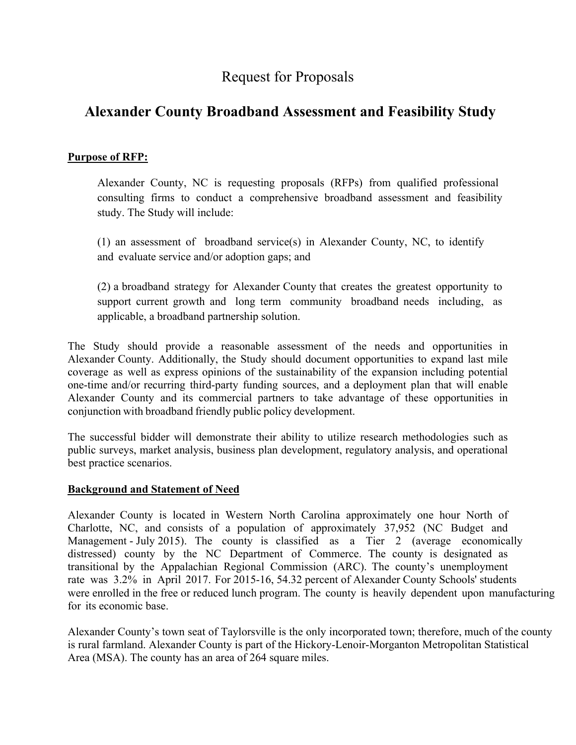# Request for Proposals

# **Alexander County Broadband Assessment and Feasibility Study**

# **Purpose of RFP:**

Alexander County, NC is requesting proposals (RFPs) from qualified professional consulting firms to conduct a comprehensive broadband assessment and feasibility study. The Study will include:

(1) an assessment of broadband service(s) in Alexander County, NC, to identify and evaluate service and/or adoption gaps; and

(2) a broadband strategy for Alexander County that creates the greatest opportunity to support current growth and long term community broadband needs including, as applicable, a broadband partnership solution.

The Study should provide a reasonable assessment of the needs and opportunities in Alexander County. Additionally, the Study should document opportunities to expand last mile coverage as well as express opinions of the sustainability of the expansion including potential one-time and/or recurring third-party funding sources, and a deployment plan that will enable Alexander County and its commercial partners to take advantage of these opportunities in conjunction with broadband friendly public policy development.

The successful bidder will demonstrate their ability to utilize research methodologies such as public surveys, market analysis, business plan development, regulatory analysis, and operational best practice scenarios.

# **Background and Statement of Need**

Alexander County is located in Western North Carolina approximately one hour North of Charlotte, NC, and consists of a population of approximately 37,952 (NC Budget and Management - July 2015). The county is classified as a Tier 2 (average economically distressed) county by the NC Department of Commerce. The county is designated as transitional by the Appalachian Regional Commission (ARC). The county's unemployment rate was 3.2% in April 2017. For 2015-16, 54.32 percent of Alexander County Schools' students were enrolled in the free or reduced lunch program. The county is heavily dependent upon manufacturing for its economic base.

Alexander County's town seat of Taylorsville is the only incorporated town; therefore, much of the county is rural farmland. Alexander County is part of the Hickory-Lenoir-Morganton Metropolitan Statistical Area (MSA). The county has an area of 264 square miles.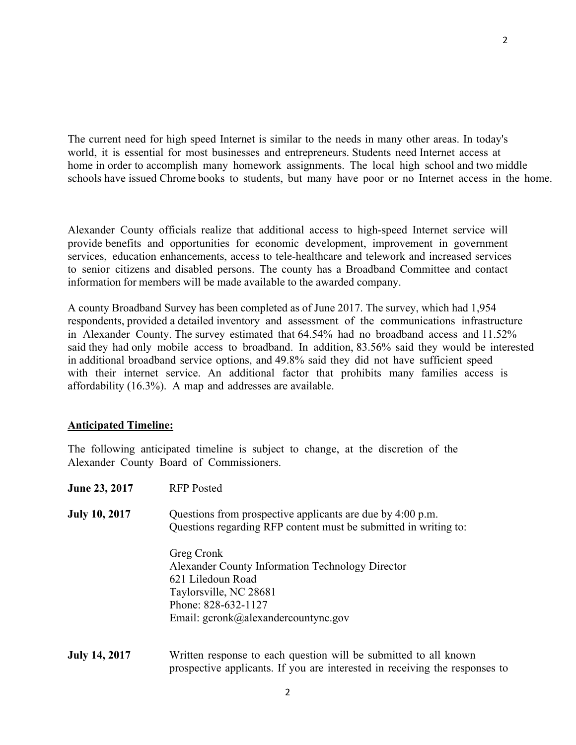The current need for high speed Internet is similar to the needs in many other areas. In today's world, it is essential for most businesses and entrepreneurs. Students need Internet access at home in order to accomplish many homework assignments. The local high school and two middle schools have issued Chrome books to students, but many have poor or no Internet access in the home.

Alexander County officials realize that additional access to high-speed Internet service will provide benefits and opportunities for economic development, improvement in government services, education enhancements, access to tele-healthcare and telework and increased services to senior citizens and disabled persons. The county has a Broadband Committee and contact information for members will be made available to the awarded company.

A county Broadband Survey has been completed as of June 2017. The survey, which had 1,954 respondents, provided a detailed inventory and assessment of the communications infrastructure in Alexander County. The survey estimated that 64.54% had no broadband access and 11.52% said they had only mobile access to broadband. In addition, 83.56% said they would be interested in additional broadband service options, and 49.8% said they did not have sufficient speed with their internet service. An additional factor that prohibits many families access is affordability (16.3%). A map and addresses are available.

### **Anticipated Timeline:**

The following anticipated timeline is subject to change, at the discretion of the Alexander County Board of Commissioners.

| <b>June 23, 2017</b> | <b>RFP</b> Posted                                                                                                                                                           |
|----------------------|-----------------------------------------------------------------------------------------------------------------------------------------------------------------------------|
| <b>July 10, 2017</b> | Questions from prospective applicants are due by 4:00 p.m.<br>Questions regarding RFP content must be submitted in writing to:                                              |
|                      | Greg Cronk<br>Alexander County Information Technology Director<br>621 Liledoun Road<br>Taylorsville, NC 28681<br>Phone: 828-632-1127<br>Email: gcronk@alexandercountync.gov |
| <b>July 14, 2017</b> | Written response to each question will be submitted to all known<br>prospective applicants. If you are interested in receiving the responses to                             |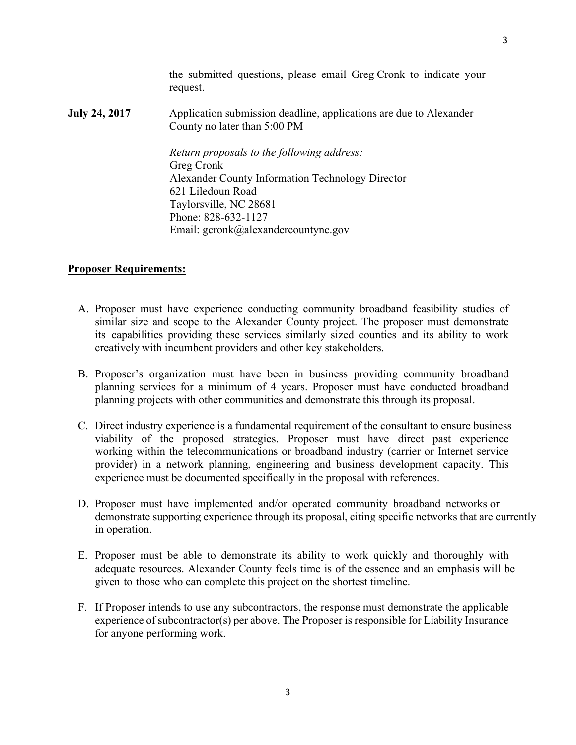the submitted questions, please email Greg Cronk to indicate your request.

**July 24, 2017** Application submission deadline, applications are due to Alexander County no later than 5:00 PM

> *Return proposals to the following address:*  Greg Cronk Alexander County Information Technology Director 621 Liledoun Road Taylorsville, NC 28681 Phone: 828-632-1127 Email: gcronk@alexandercountync.gov

#### **Proposer Requirements:**

- A. Proposer must have experience conducting community broadband feasibility studies of similar size and scope to the Alexander County project. The proposer must demonstrate its capabilities providing these services similarly sized counties and its ability to work creatively with incumbent providers and other key stakeholders.
- B. Proposer's organization must have been in business providing community broadband planning services for a minimum of 4 years. Proposer must have conducted broadband planning projects with other communities and demonstrate this through its proposal.
- C. Direct industry experience is a fundamental requirement of the consultant to ensure business viability of the proposed strategies. Proposer must have direct past experience working within the telecommunications or broadband industry (carrier or Internet service provider) in a network planning, engineering and business development capacity. This experience must be documented specifically in the proposal with references.
- D. Proposer must have implemented and/or operated community broadband networks or demonstrate supporting experience through its proposal, citing specific networks that are currently in operation.
- E. Proposer must be able to demonstrate its ability to work quickly and thoroughly with adequate resources. Alexander County feels time is of the essence and an emphasis will be given to those who can complete this project on the shortest timeline.
- F. If Proposer intends to use any subcontractors, the response must demonstrate the applicable experience of subcontractor(s) per above. The Proposer is responsible for Liability Insurance for anyone performing work.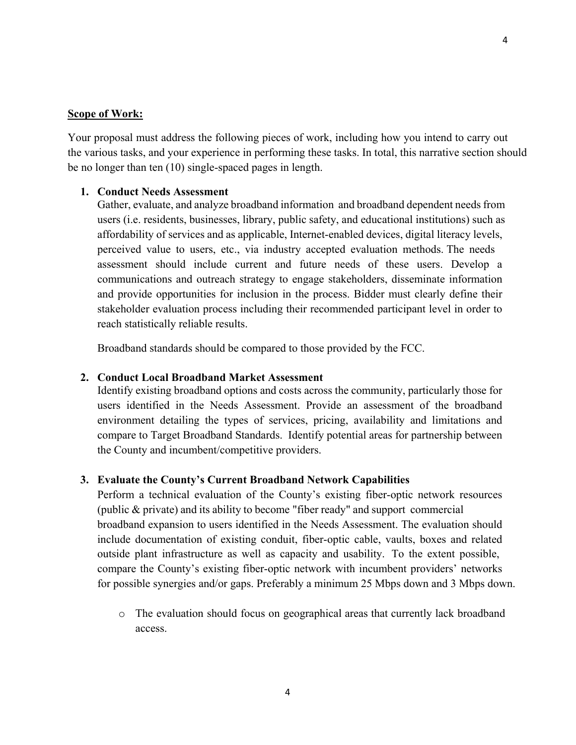#### **Scope of Work:**

Your proposal must address the following pieces of work, including how you intend to carry out the various tasks, and your experience in performing these tasks. In total, this narrative section should be no longer than ten (10) single-spaced pages in length.

### **1. Conduct Needs Assessment**

Gather, evaluate, and analyze broadband information and broadband dependent needs from users (i.e. residents, businesses, library, public safety, and educational institutions) such as affordability of services and as applicable, Internet-enabled devices, digital literacy levels, perceived value to users, etc., via industry accepted evaluation methods. The needs assessment should include current and future needs of these users. Develop a communications and outreach strategy to engage stakeholders, disseminate information and provide opportunities for inclusion in the process. Bidder must clearly define their stakeholder evaluation process including their recommended participant level in order to reach statistically reliable results.

Broadband standards should be compared to those provided by the FCC.

#### **2. Conduct Local Broadband Market Assessment**

Identify existing broadband options and costs across the community, particularly those for users identified in the Needs Assessment. Provide an assessment of the broadband environment detailing the types of services, pricing, availability and limitations and compare to Target Broadband Standards. Identify potential areas for partnership between the County and incumbent/competitive providers.

#### **3. Evaluate the County's Current Broadband Network Capabilities**

Perform a technical evaluation of the County's existing fiber-optic network resources (public  $\&$  private) and its ability to become "fiber ready" and support commercial broadband expansion to users identified in the Needs Assessment. The evaluation should include documentation of existing conduit, fiber-optic cable, vaults, boxes and related outside plant infrastructure as well as capacity and usability. To the extent possible, compare the County's existing fiber-optic network with incumbent providers' networks for possible synergies and/or gaps. Preferably a minimum 25 Mbps down and 3 Mbps down.

o The evaluation should focus on geographical areas that currently lack broadband access.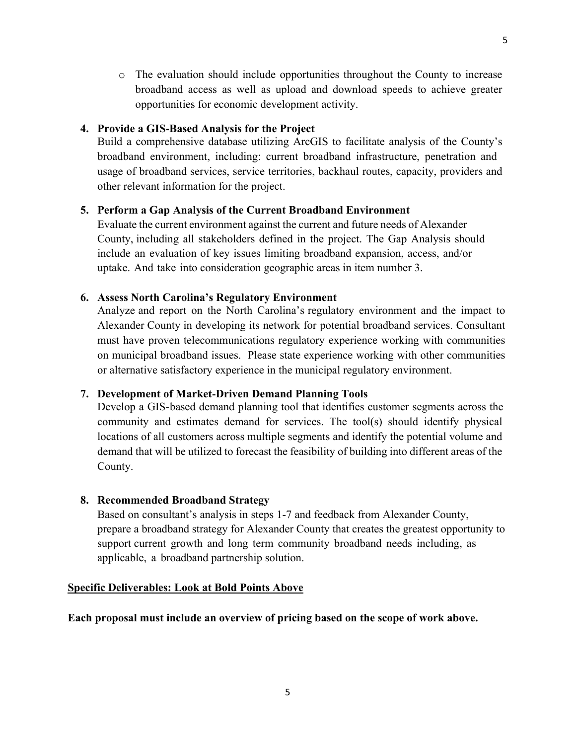o The evaluation should include opportunities throughout the County to increase broadband access as well as upload and download speeds to achieve greater opportunities for economic development activity.

## **4. Provide a GIS**-**Based Analysis for the Project**

Build a comprehensive database utilizing ArcGIS to facilitate analysis of the County's broadband environment, including: current broadband infrastructure, penetration and usage of broadband services, service territories, backhaul routes, capacity, providers and other relevant information for the project.

### **5. Perform a Gap Analysis of the Current Broadband Environment**

Evaluate the current environment against the current and future needs of Alexander County, including all stakeholders defined in the project. The Gap Analysis should include an evaluation of key issues limiting broadband expansion, access, and/or uptake. And take into consideration geographic areas in item number 3.

### **6. Assess North Carolina's Regulatory Environment**

Analyze and report on the North Carolina's regulatory environment and the impact to Alexander County in developing its network for potential broadband services. Consultant must have proven telecommunications regulatory experience working with communities on municipal broadband issues. Please state experience working with other communities or alternative satisfactory experience in the municipal regulatory environment.

# **7. Development of Market**-**Driven Demand Planning Tools**

Develop a GIS-based demand planning tool that identifies customer segments across the community and estimates demand for services. The tool(s) should identify physical locations of all customers across multiple segments and identify the potential volume and demand that will be utilized to forecast the feasibility of building into different areas of the County.

# **8. Recommended Broadband Strategy**

Based on consultant's analysis in steps 1-7 and feedback from Alexander County, prepare a broadband strategy for Alexander County that creates the greatest opportunity to support current growth and long term community broadband needs including, as applicable, a broadband partnership solution.

### **Specific Deliverables: Look at Bold Points Above**

**Each proposal must include an overview of pricing based on the scope of work above.**